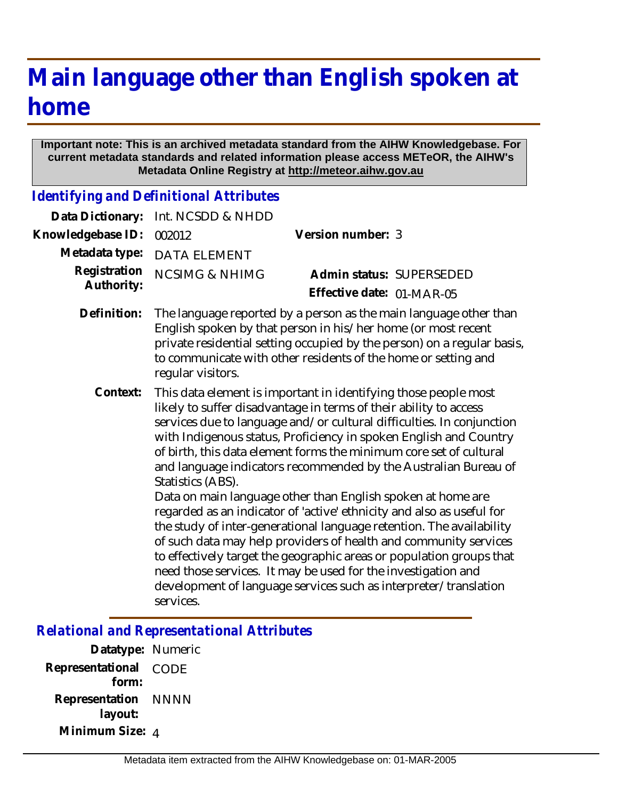## **Main language other than English spoken at home**

## **Important note: This is an archived metadata standard from the AIHW Knowledgebase. For current metadata standards and related information please access METeOR, the AIHW's Metadata Online Registry at http://meteor.aihw.gov.au**

*Identifying and Definitional Attributes*

| Data Dictionary:           | Int. NCSDD & NHDD                                                                                                                                                                                                                                                                                                                                                                                                                                                                                                                                                                                                                                                                                                                                                                                                                                                                                                                                              |                           |                          |
|----------------------------|----------------------------------------------------------------------------------------------------------------------------------------------------------------------------------------------------------------------------------------------------------------------------------------------------------------------------------------------------------------------------------------------------------------------------------------------------------------------------------------------------------------------------------------------------------------------------------------------------------------------------------------------------------------------------------------------------------------------------------------------------------------------------------------------------------------------------------------------------------------------------------------------------------------------------------------------------------------|---------------------------|--------------------------|
| Knowledgebase ID:          | 002012                                                                                                                                                                                                                                                                                                                                                                                                                                                                                                                                                                                                                                                                                                                                                                                                                                                                                                                                                         | Version number: 3         |                          |
| Metadata type:             | <b>DATA ELEMENT</b>                                                                                                                                                                                                                                                                                                                                                                                                                                                                                                                                                                                                                                                                                                                                                                                                                                                                                                                                            |                           |                          |
| Registration<br>Authority: | <b>NCSIMG &amp; NHIMG</b>                                                                                                                                                                                                                                                                                                                                                                                                                                                                                                                                                                                                                                                                                                                                                                                                                                                                                                                                      | Effective date: 01-MAR-05 | Admin status: SUPERSEDED |
| Definition:                | The language reported by a person as the main language other than<br>English spoken by that person in his/her home (or most recent<br>private residential setting occupied by the person) on a regular basis,<br>to communicate with other residents of the home or setting and<br>regular visitors.                                                                                                                                                                                                                                                                                                                                                                                                                                                                                                                                                                                                                                                           |                           |                          |
| Context:                   | This data element is important in identifying those people most<br>likely to suffer disadvantage in terms of their ability to access<br>services due to language and/or cultural difficulties. In conjunction<br>with Indigenous status, Proficiency in spoken English and Country<br>of birth, this data element forms the minimum core set of cultural<br>and language indicators recommended by the Australian Bureau of<br>Statistics (ABS).<br>Data on main language other than English spoken at home are<br>regarded as an indicator of 'active' ethnicity and also as useful for<br>the study of inter-generational language retention. The availability<br>of such data may help providers of health and community services<br>to effectively target the geographic areas or population groups that<br>need those services. It may be used for the investigation and<br>development of language services such as interpreter/translation<br>services. |                           |                          |

## *Relational and Representational Attributes*

**Datatype:** Numeric **Representational** CODE  **form: Representation** NNNN  **layout: Minimum Size:** 4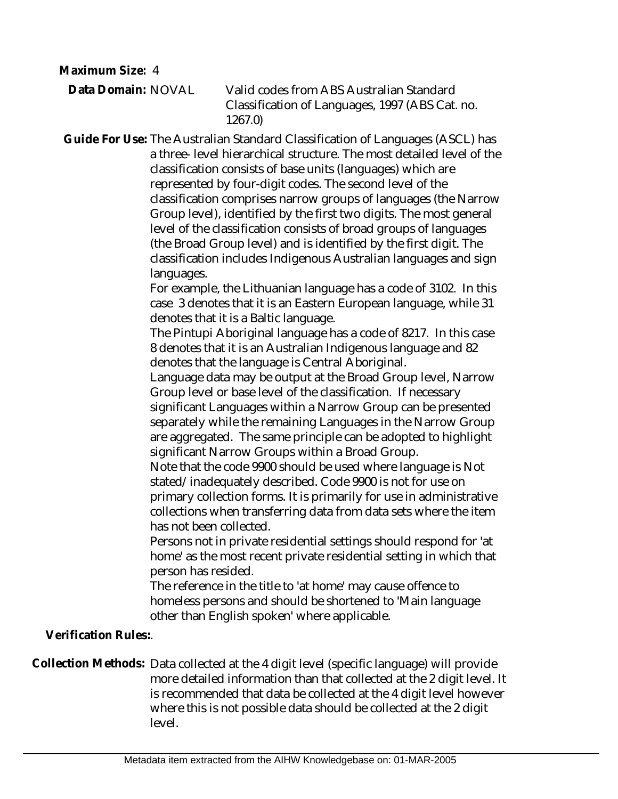**Maximum Size:** 4

Valid codes from ABS Australian Standard Classification of Languages, 1997 (ABS Cat. no. 1267.0) **Data Domain:**

Guide For Use: The Australian Standard Classification of Languages (ASCL) has

a three- level hierarchical structure. The most detailed level of the classification consists of base units (languages) which are represented by four-digit codes. The second level of the classification comprises narrow groups of languages (the Narrow Group level), identified by the first two digits. The most general level of the classification consists of broad groups of languages (the Broad Group level) and is identified by the first digit. The classification includes Indigenous Australian languages and sign languages.

For example, the Lithuanian language has a code of 3102. In this case 3 denotes that it is an Eastern European language, while 31 denotes that it is a Baltic language.

The Pintupi Aboriginal language has a code of 8217. In this case 8 denotes that it is an Australian Indigenous language and 82 denotes that the language is Central Aboriginal.

Language data may be output at the Broad Group level, Narrow Group level or base level of the classification. If necessary

significant Languages within a Narrow Group can be presented separately while the remaining Languages in the Narrow Group are aggregated. The same principle can be adopted to highlight significant Narrow Groups within a Broad Group.

Note that the code 9900 should be used where language is Not stated/inadequately described. Code 9900 is not for use on primary collection forms. It is primarily for use in administrative collections when transferring data from data sets where the item has not been collected.

Persons not in private residential settings should respond for 'at home' as the most recent private residential setting in which that person has resided.

The reference in the title to 'at home' may cause offence to homeless persons and should be shortened to 'Main language other than English spoken' where applicable.

**Verification Rules:**.

Collection Methods: Data collected at the 4 digit level (specific language) will provide more detailed information than that collected at the 2 digit level. It is recommended that data be collected at the 4 digit level however where this is not possible data should be collected at the 2 digit level.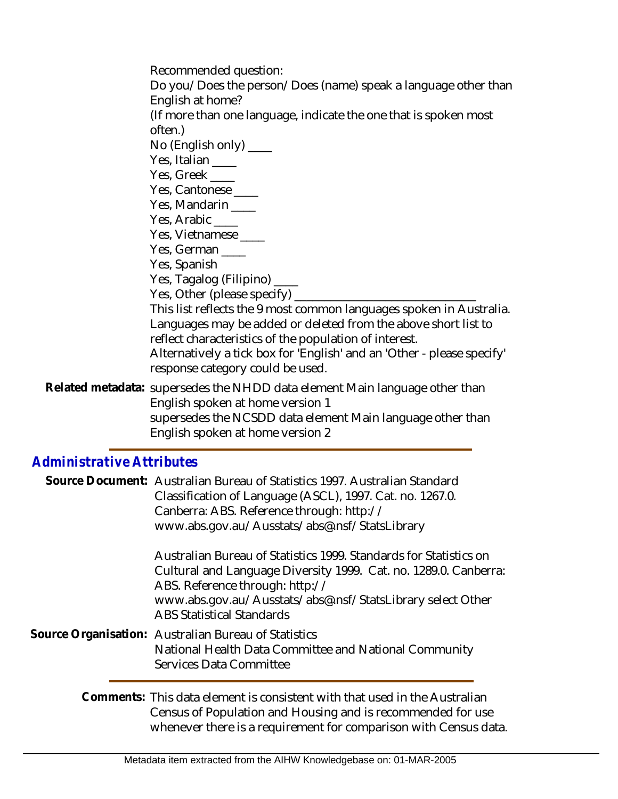Recommended question:

Do you/Does the person/Does (name) speak a language other than English at home?

(If more than one language, indicate the one that is spoken most often.)

No (English only) \_\_\_\_

Yes, Italian \_\_\_\_

Yes, Greek \_\_\_\_

Yes, Cantonese \_\_\_\_

Yes, Mandarin \_\_\_\_

Yes, Arabic

Yes, Vietnamese \_\_\_\_

Yes, German

Yes, Spanish

Yes, Tagalog (Filipino) \_\_\_\_

Yes, Other (please specify)

This list reflects the 9 most common languages spoken in Australia. Languages may be added or deleted from the above short list to reflect characteristics of the population of interest.

Alternatively a tick box for 'English' and an 'Other - please specify' response category could be used.

Related metadata: supersedes the NHDD data element Main language other than English spoken at home version 1 supersedes the NCSDD data element Main language other than English spoken at home version 2

## *Administrative Attributes*

| Source Document: Australian Bureau of Statistics 1997. Australian Standard<br>Classification of Language (ASCL), 1997. Cat. no. 1267.0.<br>Canberra: ABS. Reference through: http://<br>www.abs.gov.au/Ausstats/abs@.nsf/StatsLibrary                                      |  |  |
|----------------------------------------------------------------------------------------------------------------------------------------------------------------------------------------------------------------------------------------------------------------------------|--|--|
| Australian Bureau of Statistics 1999. Standards for Statistics on<br>Cultural and Language Diversity 1999. Cat. no. 1289.0. Canberra:<br>ABS. Reference through: http://<br>www.abs.gov.au/Ausstats/abs@.nsf/StatsLibrary select Other<br><b>ABS Statistical Standards</b> |  |  |
| Source Organisation: Australian Bureau of Statistics<br>National Health Data Committee and National Community<br>Services Data Committee                                                                                                                                   |  |  |
| Comments: This data element is consistent with that used in the Australian<br>Census of Population and Housing and is recommended for use                                                                                                                                  |  |  |

 $\omega$ ensus or Population and Housing and is recommended for use whenever there is a requirement for comparison with Census data.